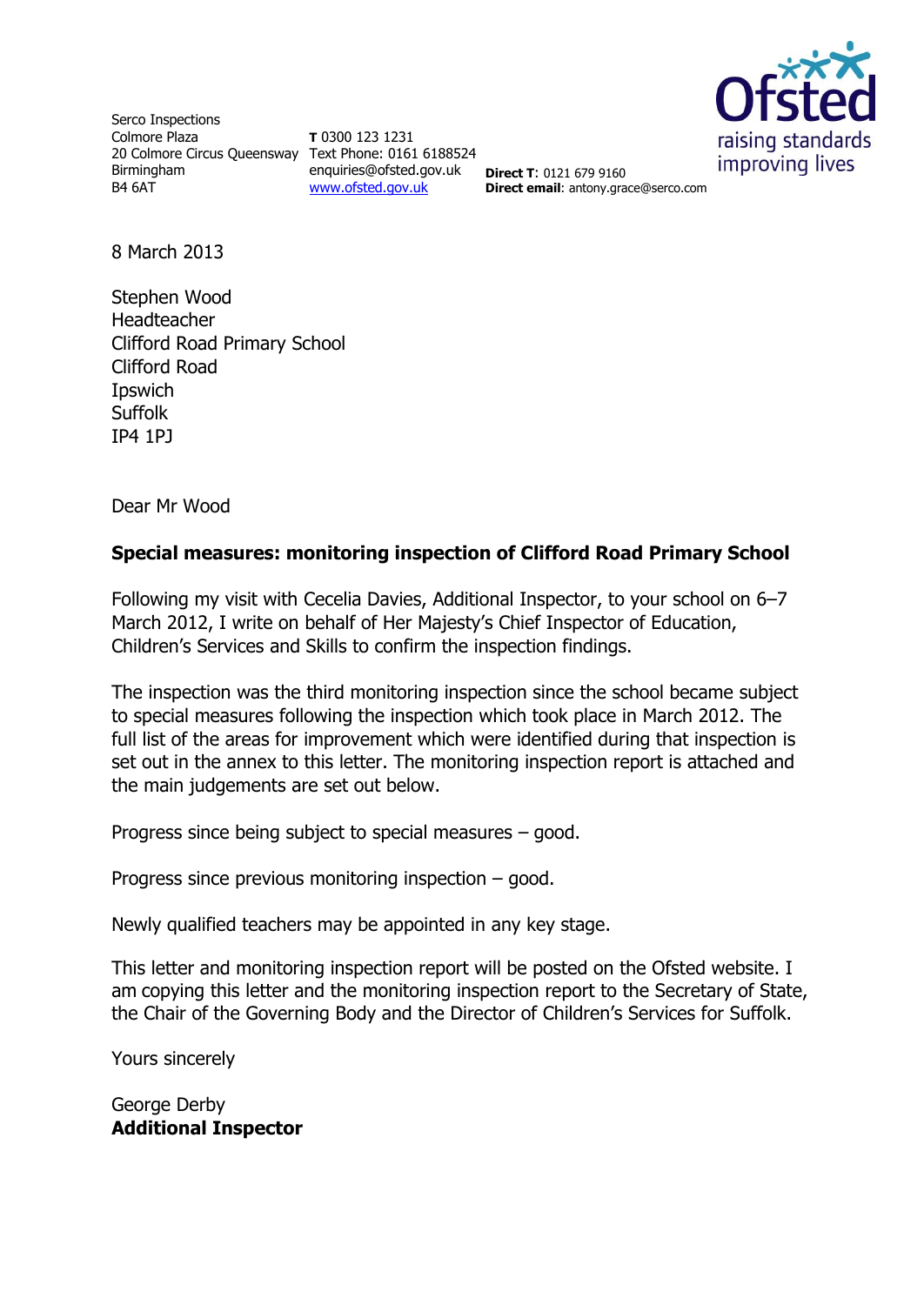

Serco Inspections Colmore Plaza 20 Colmore Circus Queensway Text Phone: 0161 6188524 Birmingham B4 6AT

**T** 0300 123 1231 enquiries@ofsted.gov.uk [www.ofsted.gov.uk](http://www.ofsted.gov.uk/)

**Direct T**: 0121 679 9160 **Direct email**: antony.grace@serco.com

8 March 2013

Stephen Wood Headteacher Clifford Road Primary School Clifford Road Ipswich **Suffolk** IP4 1PJ

Dear Mr Wood

## **Special measures: monitoring inspection of Clifford Road Primary School**

Following my visit with Cecelia Davies, Additional Inspector, to your school on 6–7 March 2012, I write on behalf of Her Majesty's Chief Inspector of Education, Children's Services and Skills to confirm the inspection findings.

The inspection was the third monitoring inspection since the school became subject to special measures following the inspection which took place in March 2012. The full list of the areas for improvement which were identified during that inspection is set out in the annex to this letter. The monitoring inspection report is attached and the main judgements are set out below.

Progress since being subject to special measures – good.

Progress since previous monitoring inspection – good.

Newly qualified teachers may be appointed in any key stage.

This letter and monitoring inspection report will be posted on the Ofsted website. I am copying this letter and the monitoring inspection report to the Secretary of State, the Chair of the Governing Body and the Director of Children's Services for Suffolk.

Yours sincerely

George Derby **Additional Inspector**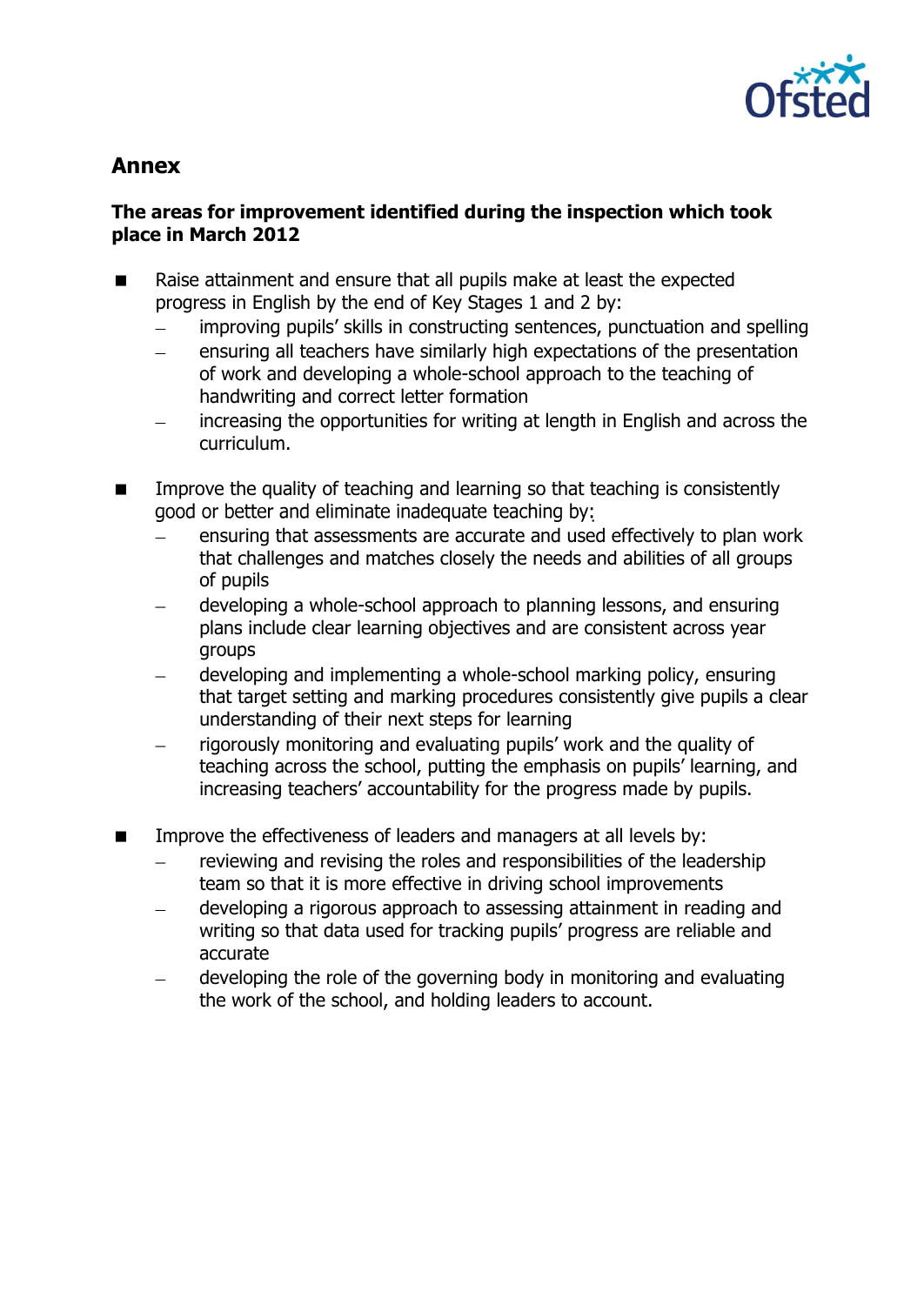

# **Annex**

## **The areas for improvement identified during the inspection which took place in March 2012**

- Raise attainment and ensure that all pupils make at least the expected progress in English by the end of Key Stages 1 and 2 by:
	- improving pupils' skills in constructing sentences, punctuation and spelling
	- ensuring all teachers have similarly high expectations of the presentation  $\frac{1}{2}$ of work and developing a whole-school approach to the teaching of handwriting and correct letter formation
	- increasing the opportunities for writing at length in English and across the  $\frac{1}{2}$ curriculum.
- **IMPROVE THE GUALACT UP THE UP THE VALUATION IS CONSTRUMENT IN THE UP THE UP THE INCOCOLLY** good or better and eliminate inadequate teaching by:
	- ensuring that assessments are accurate and used effectively to plan work that challenges and matches closely the needs and abilities of all groups of pupils
	- developing a whole-school approach to planning lessons, and ensuring plans include clear learning objectives and are consistent across year groups
	- developing and implementing a whole-school marking policy, ensuring that target setting and marking procedures consistently give pupils a clear understanding of their next steps for learning
	- rigorously monitoring and evaluating pupils' work and the quality of teaching across the school, putting the emphasis on pupils' learning, and increasing teachers' accountability for the progress made by pupils.
- **IMPROVE THE EFFECT IMPROVE THE EFFECT VERGO** is a last managers at all levels by:
	- reviewing and revising the roles and responsibilities of the leadership team so that it is more effective in driving school improvements
	- developing a rigorous approach to assessing attainment in reading and  $\equiv$ writing so that data used for tracking pupils' progress are reliable and accurate
	- developing the role of the governing body in monitoring and evaluating  $\equiv$ the work of the school, and holding leaders to account.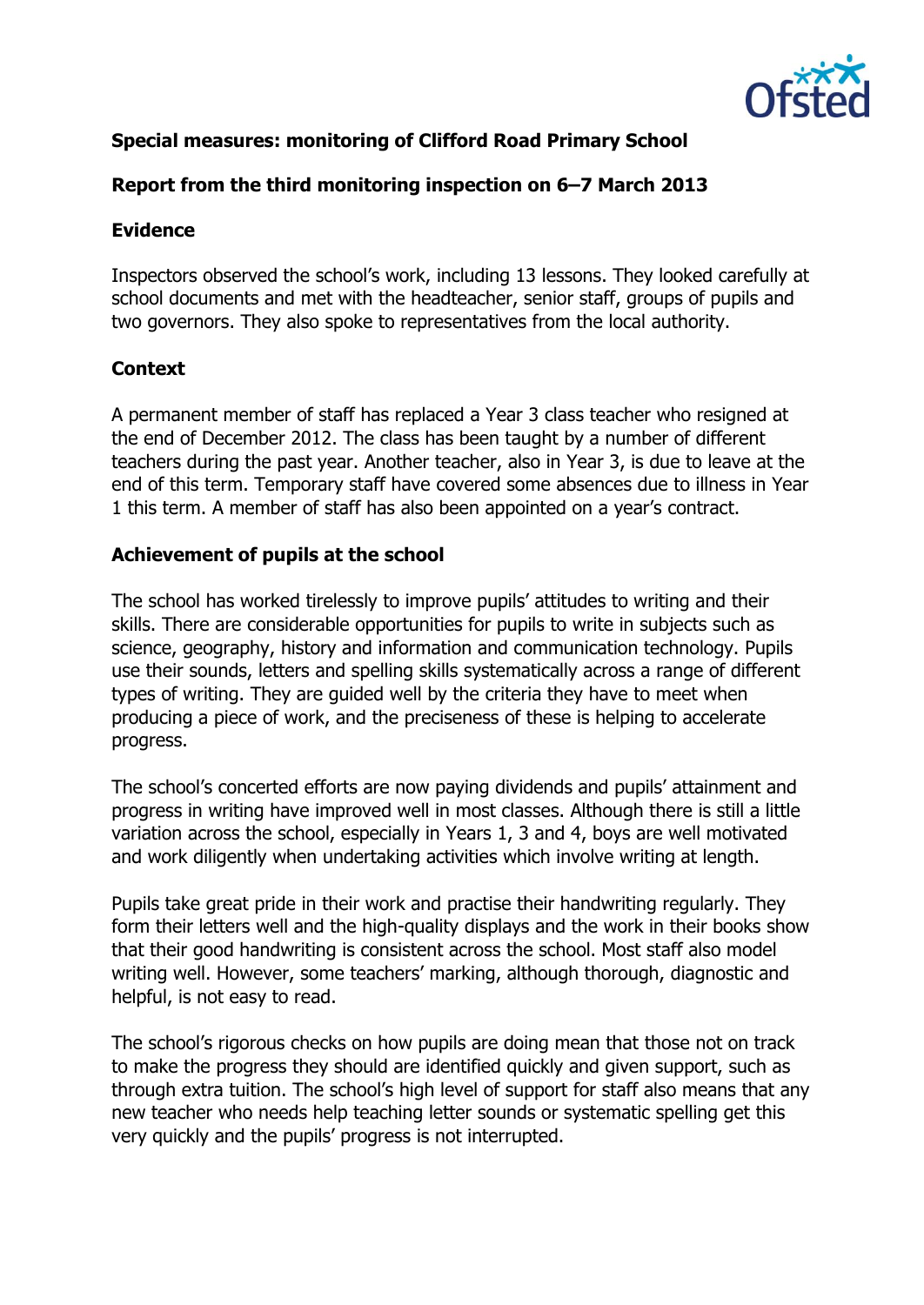

## **Special measures: monitoring of Clifford Road Primary School**

## **Report from the third monitoring inspection on 6–7 March 2013**

#### **Evidence**

Inspectors observed the school's work, including 13 lessons. They looked carefully at school documents and met with the headteacher, senior staff, groups of pupils and two governors. They also spoke to representatives from the local authority.

## **Context**

A permanent member of staff has replaced a Year 3 class teacher who resigned at the end of December 2012. The class has been taught by a number of different teachers during the past year. Another teacher, also in Year 3, is due to leave at the end of this term. Temporary staff have covered some absences due to illness in Year 1 this term. A member of staff has also been appointed on a year's contract.

#### **Achievement of pupils at the school**

The school has worked tirelessly to improve pupils' attitudes to writing and their skills. There are considerable opportunities for pupils to write in subjects such as science, geography, history and information and communication technology. Pupils use their sounds, letters and spelling skills systematically across a range of different types of writing. They are guided well by the criteria they have to meet when producing a piece of work, and the preciseness of these is helping to accelerate progress.

The school's concerted efforts are now paying dividends and pupils' attainment and progress in writing have improved well in most classes. Although there is still a little variation across the school, especially in Years 1, 3 and 4, boys are well motivated and work diligently when undertaking activities which involve writing at length.

Pupils take great pride in their work and practise their handwriting regularly. They form their letters well and the high-quality displays and the work in their books show that their good handwriting is consistent across the school. Most staff also model writing well. However, some teachers' marking, although thorough, diagnostic and helpful, is not easy to read.

The school's rigorous checks on how pupils are doing mean that those not on track to make the progress they should are identified quickly and given support, such as through extra tuition. The school's high level of support for staff also means that any new teacher who needs help teaching letter sounds or systematic spelling get this very quickly and the pupils' progress is not interrupted.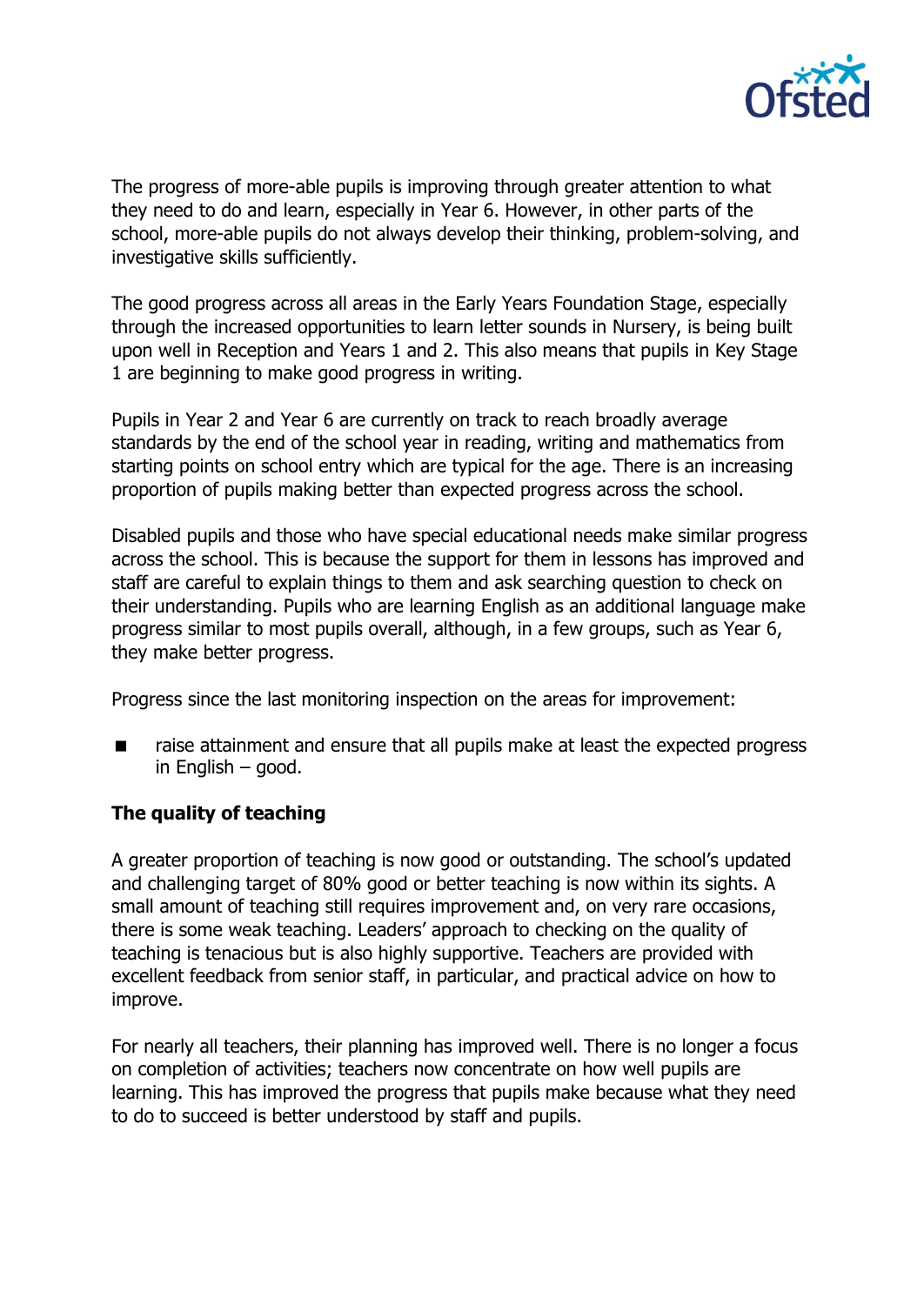

The progress of more-able pupils is improving through greater attention to what they need to do and learn, especially in Year 6. However, in other parts of the school, more-able pupils do not always develop their thinking, problem-solving, and investigative skills sufficiently.

The good progress across all areas in the Early Years Foundation Stage, especially through the increased opportunities to learn letter sounds in Nursery, is being built upon well in Reception and Years 1 and 2. This also means that pupils in Key Stage 1 are beginning to make good progress in writing.

Pupils in Year 2 and Year 6 are currently on track to reach broadly average standards by the end of the school year in reading, writing and mathematics from starting points on school entry which are typical for the age. There is an increasing proportion of pupils making better than expected progress across the school.

Disabled pupils and those who have special educational needs make similar progress across the school. This is because the support for them in lessons has improved and staff are careful to explain things to them and ask searching question to check on their understanding. Pupils who are learning English as an additional language make progress similar to most pupils overall, although, in a few groups, such as Year 6, they make better progress.

Progress since the last monitoring inspection on the areas for improvement:

■ raise attainment and ensure that all pupils make at least the expected progress in English – good.

#### **The quality of teaching**

A greater proportion of teaching is now good or outstanding. The school's updated and challenging target of 80% good or better teaching is now within its sights. A small amount of teaching still requires improvement and, on very rare occasions, there is some weak teaching. Leaders' approach to checking on the quality of teaching is tenacious but is also highly supportive. Teachers are provided with excellent feedback from senior staff, in particular, and practical advice on how to improve.

For nearly all teachers, their planning has improved well. There is no longer a focus on completion of activities; teachers now concentrate on how well pupils are learning. This has improved the progress that pupils make because what they need to do to succeed is better understood by staff and pupils.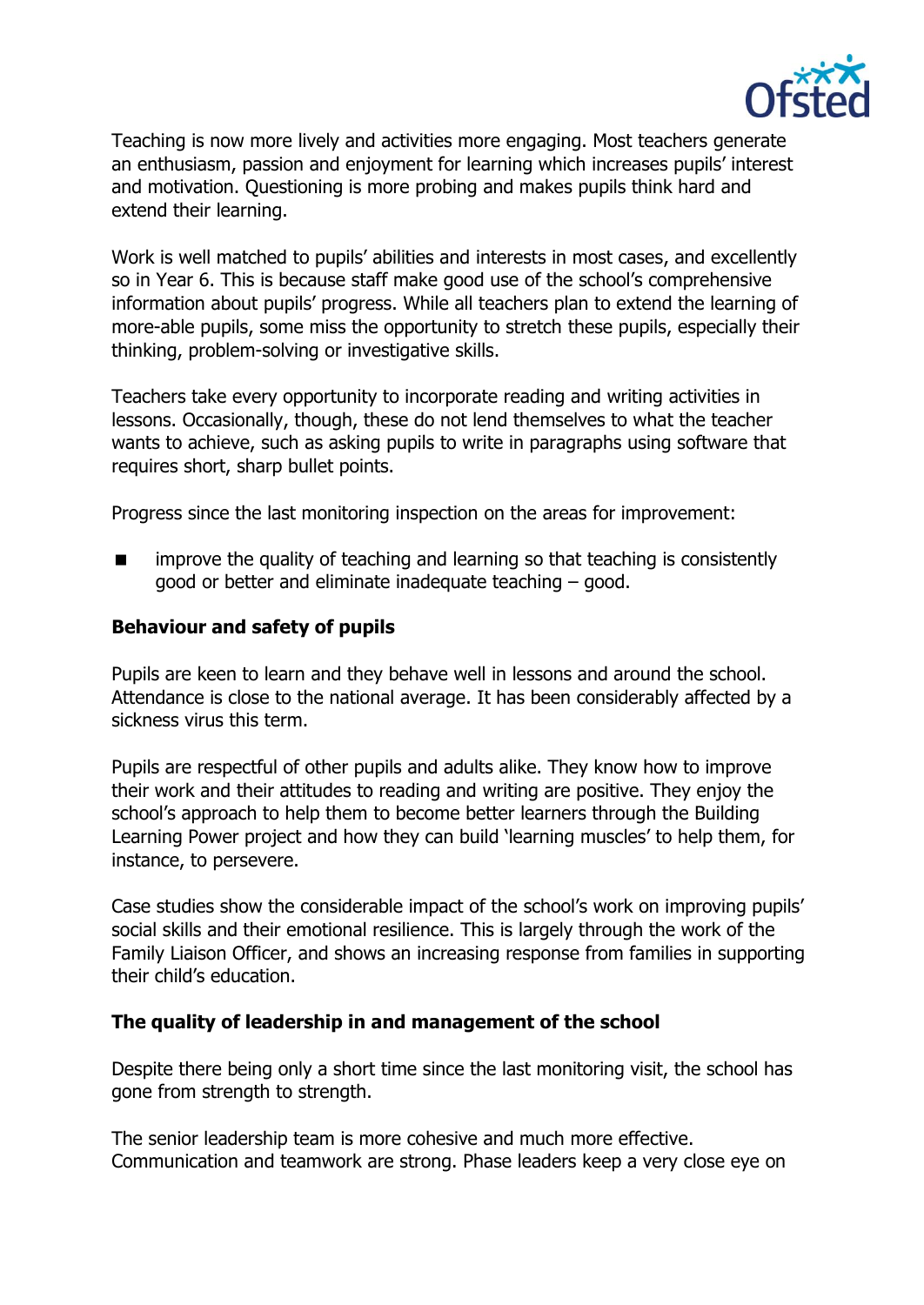

Teaching is now more lively and activities more engaging. Most teachers generate an enthusiasm, passion and enjoyment for learning which increases pupils' interest and motivation. Questioning is more probing and makes pupils think hard and extend their learning.

Work is well matched to pupils' abilities and interests in most cases, and excellently so in Year 6. This is because staff make good use of the school's comprehensive information about pupils' progress. While all teachers plan to extend the learning of more-able pupils, some miss the opportunity to stretch these pupils, especially their thinking, problem-solving or investigative skills.

Teachers take every opportunity to incorporate reading and writing activities in lessons. Occasionally, though, these do not lend themselves to what the teacher wants to achieve, such as asking pupils to write in paragraphs using software that requires short, sharp bullet points.

Progress since the last monitoring inspection on the areas for improvement:

**If** improve the quality of teaching and learning so that teaching is consistently good or better and eliminate inadequate teaching – good.

## **Behaviour and safety of pupils**

Pupils are keen to learn and they behave well in lessons and around the school. Attendance is close to the national average. It has been considerably affected by a sickness virus this term.

Pupils are respectful of other pupils and adults alike. They know how to improve their work and their attitudes to reading and writing are positive. They enjoy the school's approach to help them to become better learners through the Building Learning Power project and how they can build 'learning muscles' to help them, for instance, to persevere.

Case studies show the considerable impact of the school's work on improving pupils' social skills and their emotional resilience. This is largely through the work of the Family Liaison Officer, and shows an increasing response from families in supporting their child's education.

#### **The quality of leadership in and management of the school**

Despite there being only a short time since the last monitoring visit, the school has gone from strength to strength.

The senior leadership team is more cohesive and much more effective. Communication and teamwork are strong. Phase leaders keep a very close eye on